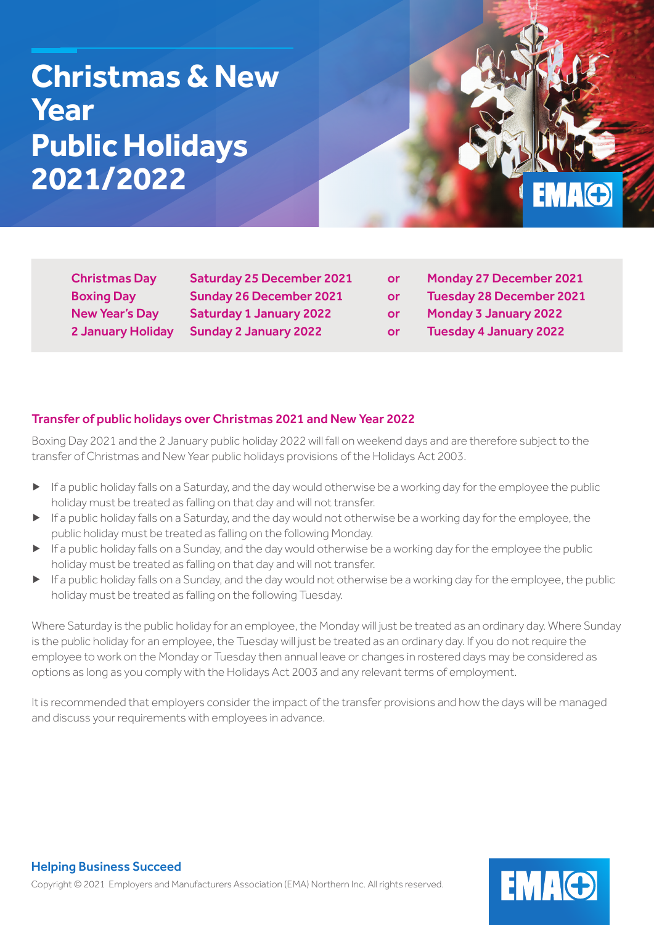# **Christmas & New Year Public Holidays 2021/2022**

EMAG

2 January Holiday Sunday 2 January 2022 or Tuesday 4 January 2022

Christmas Day Saturday 25 December 2021 or Monday 27 December 2021 Boxing Day Sunday 26 December 2021 or Tuesday 28 December 2021 New Year's Day Saturday 1 January 2022 or Monday 3 January 2022

# Transfer of public holidays over Christmas 2021 and New Year 2022

Boxing Day 2021 and the 2 January public holiday 2022 will fall on weekend days and are therefore subject to the transfer of Christmas and New Year public holidays provisions of the Holidays Act 2003.

- ▶ If a public holiday falls on a Saturday, and the day would otherwise be a working day for the employee the public holiday must be treated as falling on that day and will not transfer.
- ▶ If a public holiday falls on a Saturday, and the day would not otherwise be a working day for the employee, the public holiday must be treated as falling on the following Monday.
- ▶ If a public holiday falls on a Sunday, and the day would otherwise be a working day for the employee the public holiday must be treated as falling on that day and will not transfer.
- ▶ If a public holiday falls on a Sunday, and the day would not otherwise be a working day for the employee, the public holiday must be treated as falling on the following Tuesday.

Where Saturday is the public holiday for an employee, the Monday will just be treated as an ordinary day. Where Sunday is the public holiday for an employee, the Tuesday will just be treated as an ordinary day. If you do not require the employee to work on the Monday or Tuesday then annual leave or changes in rostered days may be considered as options as long as you comply with the Holidays Act 2003 and any relevant terms of employment.

It is recommended that employers consider the impact of the transfer provisions and how the days will be managed and discuss your requirements with employees in advance.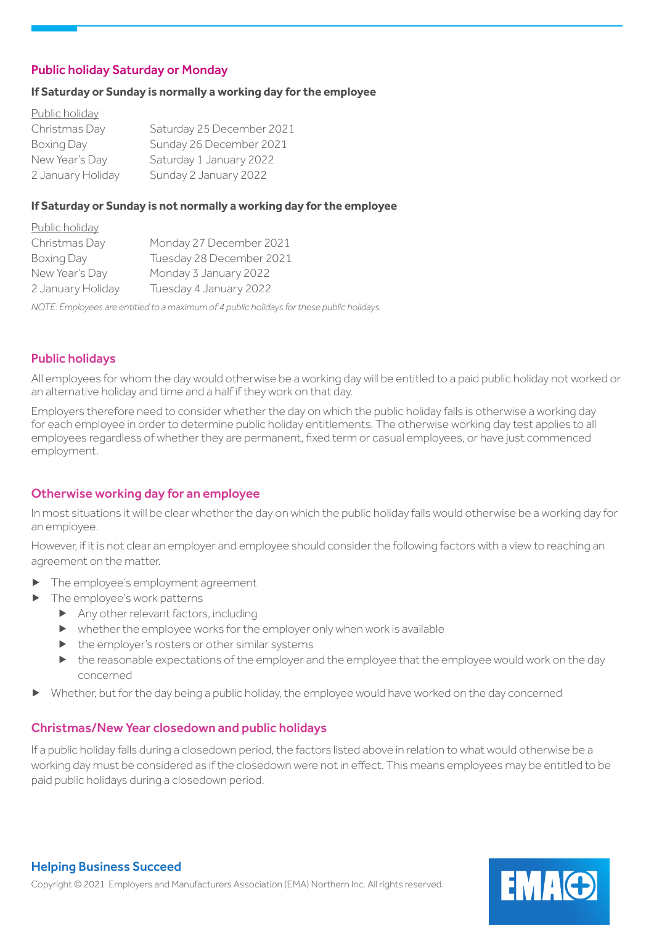# Public holiday Saturday or Monday

#### **If Saturday or Sunday is normally a working day for the employee**

| Public holiday    |                           |
|-------------------|---------------------------|
| Christmas Day     | Saturday 25 December 2021 |
| Boxing Day        | Sunday 26 December 2021   |
| New Year's Day    | Saturday 1 January 2022   |
| 2 January Holiday | Sunday 2 January 2022     |

#### **If Saturday or Sunday is not normally a working day for the employee**

| <u>Public holiday</u> |                          |
|-----------------------|--------------------------|
| Christmas Day         | Monday 27 December 2021  |
| Boxing Day            | Tuesday 28 December 2021 |
| New Year's Day        | Monday 3 January 2022    |
| 2 January Holiday     | Tuesday 4 January 2022   |
|                       |                          |

*NOTE: Employees are entitled to a maximum of 4 public holidays for these public holidays.*

### Public holidays

All employees for whom the day would otherwise be a working day will be entitled to a paid public holiday not worked or an alternative holiday and time and a half if they work on that day.

Employers therefore need to consider whether the day on which the public holiday falls is otherwise a working day for each employee in order to determine public holiday entitlements. The otherwise working day test applies to all employees regardless of whether they are permanent, fixed term or casual employees, or have just commenced employment.

### Otherwise working day for an employee

In most situations it will be clear whether the day on which the public holiday falls would otherwise be a working day for an employee.

However, if it is not clear an employer and employee should consider the following factors with a view to reaching an agreement on the matter.

- The employee's employment agreement
- The employee's work patterns
	- ▶ Any other relevant factors, including
	- ▶ whether the employee works for the employer only when work is available
	- ▶ the employer's rosters or other similar systems
	- ▶ the reasonable expectations of the employer and the employee that the employee would work on the day concerned
- Whether, but for the day being a public holiday, the employee would have worked on the day concerned

### Christmas/New Year closedown and public holidays

If a public holiday falls during a closedown period, the factors listed above in relation to what would otherwise be a working day must be considered as if the closedown were not in effect. This means employees may be entitled to be paid public holidays during a closedown period.

**EMAG**